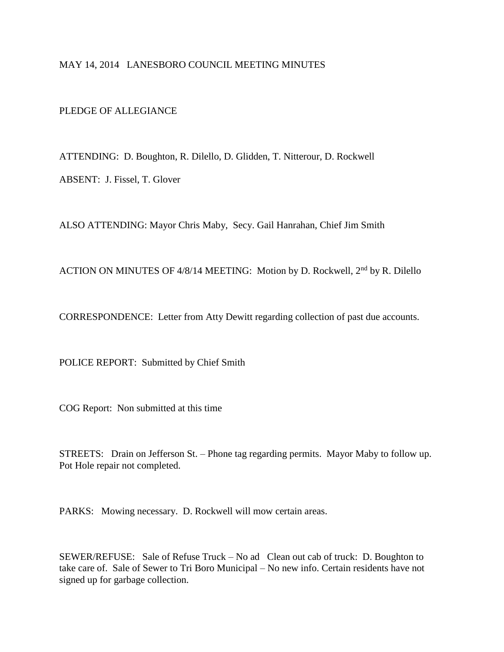## MAY 14, 2014 LANESBORO COUNCIL MEETING MINUTES

PLEDGE OF ALLEGIANCE

ATTENDING: D. Boughton, R. Dilello, D. Glidden, T. Nitterour, D. Rockwell ABSENT: J. Fissel, T. Glover

ALSO ATTENDING: Mayor Chris Maby, Secy. Gail Hanrahan, Chief Jim Smith

ACTION ON MINUTES OF 4/8/14 MEETING: Motion by D. Rockwell, 2nd by R. Dilello

CORRESPONDENCE: Letter from Atty Dewitt regarding collection of past due accounts.

POLICE REPORT: Submitted by Chief Smith

COG Report: Non submitted at this time

STREETS: Drain on Jefferson St. – Phone tag regarding permits. Mayor Maby to follow up. Pot Hole repair not completed.

PARKS: Mowing necessary. D. Rockwell will mow certain areas.

SEWER/REFUSE: Sale of Refuse Truck – No ad Clean out cab of truck: D. Boughton to take care of. Sale of Sewer to Tri Boro Municipal – No new info. Certain residents have not signed up for garbage collection.